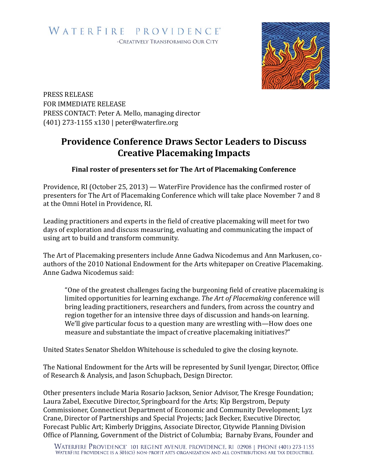

PRESS RELEASE FOR IMMEDIATE RELEASE PRESS CONTACT: Peter A. Mello, managing director (401) 273-1155 x130 | peter@waterfire.org

## **Providence Conference Draws Sector Leaders to Discuss Creative Placemaking Impacts**

## **Final roster of presenters set for The Art of Placemaking Conference**

Providence, RI (October 25, 2013) — WaterFire Providence has the confirmed roster of presenters for The Art of Placemaking Conference which will take place November 7 and 8 at the Omni Hotel in Providence, RI.

Leading practitioners and experts in the field of creative placemaking will meet for two days of exploration and discuss measuring, evaluating and communicating the impact of using art to build and transform community.

The Art of Placemaking presenters include Anne Gadwa Nicodemus and Ann Markusen, coauthors of the 2010 National Endowment for the Arts whitepaper on Creative Placemaking. Anne Gadwa Nicodemus said:

"One of the greatest challenges facing the burgeoning field of creative placemaking is limited opportunities for learning exchange. The Art of Placemaking conference will bring leading practitioners, researchers and funders, from across the country and region together for an intensive three days of discussion and hands-on learning. We'll give particular focus to a question many are wrestling with—How does one measure and substantiate the impact of creative placemaking initiatives?"

United States Senator Sheldon Whitehouse is scheduled to give the closing keynote.

The National Endowment for the Arts will be represented by Sunil Iyengar, Director, Office of Research & Analysis, and Jason Schupbach, Design Director.

Other presenters include Maria Rosario Jackson, Senior Advisor, The Kresge Foundation; Laura Zabel, Executive Director, Springboard for the Arts; Kip Bergstrom, Deputy Commissioner, Connecticut Department of Economic and Community Development; Lyz Crane, Director of Partnerships and Special Projects; Jack Becker, Executive Director, Forecast Public Art; Kimberly Driggins, Associate Director, Citywide Planning Division Office of Planning, Government of the District of Columbia; Barnaby Evans, Founder and